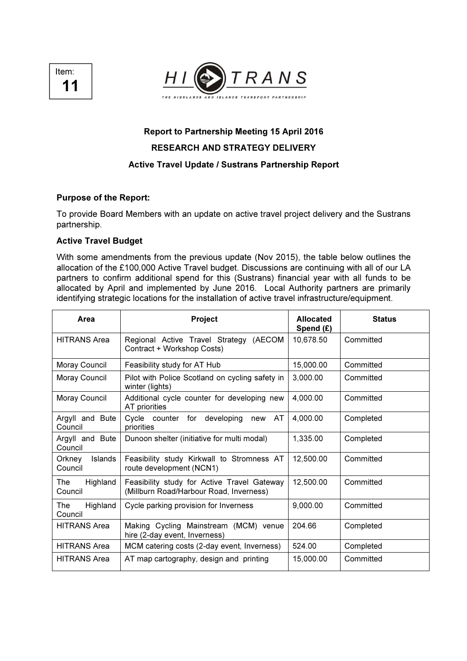Item: 11



# Report to Partnership Meeting 15 April 2016 RESEARCH AND STRATEGY DELIVERY Active Travel Update / Sustrans Partnership Report

# Purpose of the Report:

To provide Board Members with an update on active travel project delivery and the Sustrans partnership.

## Active Travel Budget

With some amendments from the previous update (Nov 2015), the table below outlines the allocation of the £100,000 Active Travel budget. Discussions are continuing with all of our LA partners to confirm additional spend for this (Sustrans) financial year with all funds to be allocated by April and implemented by June 2016. Local Authority partners are primarily identifying strategic locations for the installation of active travel infrastructure/equipment.

| Area                                | Project                                                                                | <b>Allocated</b><br>Spend $(E)$ | <b>Status</b> |
|-------------------------------------|----------------------------------------------------------------------------------------|---------------------------------|---------------|
| <b>HITRANS Area</b>                 | Regional Active Travel Strategy (AECOM<br>Contract + Workshop Costs)                   | 10.678.50                       | Committed     |
| Moray Council                       | Feasibility study for AT Hub                                                           | 15,000.00                       | Committed     |
| Moray Council                       | Pilot with Police Scotland on cycling safety in<br>winter (lights)                     | 3,000.00                        | Committed     |
| Moray Council                       | Additional cycle counter for developing new<br>AT priorities                           | 4,000.00                        | Committed     |
| Argyll and Bute<br>Council          | Cycle counter for<br>new AT<br>developing<br>priorities                                | 4,000.00                        | Completed     |
| Argyll and Bute<br>Council          | Dunoon shelter (initiative for multi modal)                                            | 1,335.00                        | Completed     |
| <b>Islands</b><br>Orkney<br>Council | Feasibility study Kirkwall to Stromness AT<br>route development (NCN1)                 | 12,500.00                       | Committed     |
| Highland<br>The<br>Council          | Feasibility study for Active Travel Gateway<br>(Millburn Road/Harbour Road, Inverness) | 12,500.00                       | Committed     |
| The<br>Highland<br>Council          | Cycle parking provision for Inverness                                                  | 9,000.00                        | Committed     |
| <b>HITRANS Area</b>                 | Making Cycling Mainstream (MCM) venue<br>hire (2-day event, Inverness)                 | 204.66                          | Completed     |
| <b>HITRANS Area</b>                 | MCM catering costs (2-day event, Inverness)                                            | 524.00                          | Completed     |
| <b>HITRANS Area</b>                 | AT map cartography, design and printing                                                | 15,000.00                       | Committed     |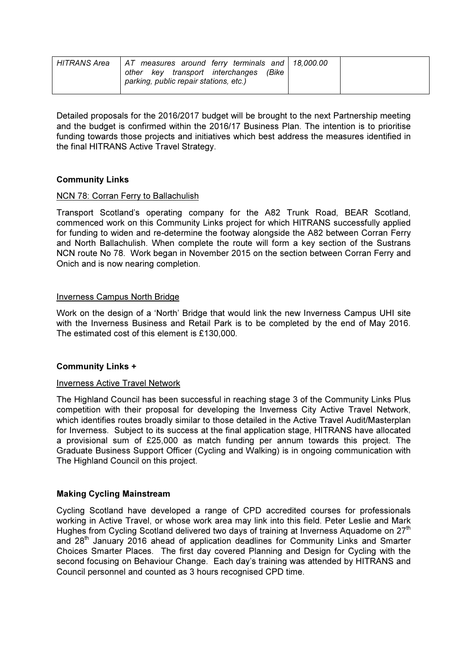| HITRANS Area | AT measures around ferry terminals and 18,000.00<br>(Bike<br>other key transport interchanges<br>parking, public repair stations, etc.) |  |
|--------------|-----------------------------------------------------------------------------------------------------------------------------------------|--|
|              |                                                                                                                                         |  |

Detailed proposals for the 2016/2017 budget will be brought to the next Partnership meeting and the budget is confirmed within the 2016/17 Business Plan. The intention is to prioritise funding towards those projects and initiatives which best address the measures identified in the final HITRANS Active Travel Strategy.

# Community Links

# NCN 78: Corran Ferry to Ballachulish

Transport Scotland's operating company for the A82 Trunk Road, BEAR Scotland, commenced work on this Community Links project for which HITRANS successfully applied for funding to widen and re-determine the footway alongside the A82 between Corran Ferry and North Ballachulish. When complete the route will form a key section of the Sustrans NCN route No 78. Work began in November 2015 on the section between Corran Ferry and Onich and is now nearing completion.

# Inverness Campus North Bridge

Work on the design of a 'North' Bridge that would link the new Inverness Campus UHI site with the Inverness Business and Retail Park is to be completed by the end of May 2016. The estimated cost of this element is £130,000.

# Community Links +

#### Inverness Active Travel Network

The Highland Council has been successful in reaching stage 3 of the Community Links Plus competition with their proposal for developing the Inverness City Active Travel Network, which identifies routes broadly similar to those detailed in the Active Travel Audit/Masterplan for Inverness. Subject to its success at the final application stage, HITRANS have allocated a provisional sum of £25,000 as match funding per annum towards this project. The Graduate Business Support Officer (Cycling and Walking) is in ongoing communication with The Highland Council on this project.

#### Making Cycling Mainstream

Cycling Scotland have developed a range of CPD accredited courses for professionals working in Active Travel, or whose work area may link into this field. Peter Leslie and Mark Hughes from Cycling Scotland delivered two days of training at Inverness Aquadome on  $27<sup>th</sup>$ and 28<sup>th</sup> January 2016 ahead of application deadlines for Community Links and Smarter Choices Smarter Places. The first day covered Planning and Design for Cycling with the second focusing on Behaviour Change. Each day's training was attended by HITRANS and Council personnel and counted as 3 hours recognised CPD time.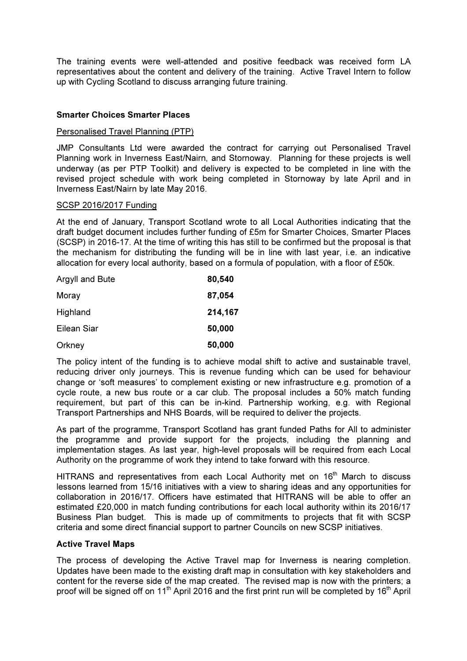The training events were well-attended and positive feedback was received form LA representatives about the content and delivery of the training. Active Travel Intern to follow up with Cycling Scotland to discuss arranging future training.

# Smarter Choices Smarter Places

#### Personalised Travel Planning (PTP)

JMP Consultants Ltd were awarded the contract for carrying out Personalised Travel Planning work in Inverness East/Nairn, and Stornoway. Planning for these projects is well underway (as per PTP Toolkit) and delivery is expected to be completed in line with the revised project schedule with work being completed in Stornoway by late April and in Inverness East/Nairn by late May 2016.

#### SCSP 2016/2017 Funding

At the end of January, Transport Scotland wrote to all Local Authorities indicating that the draft budget document includes further funding of £5m for Smarter Choices, Smarter Places (SCSP) in 2016-17. At the time of writing this has still to be confirmed but the proposal is that the mechanism for distributing the funding will be in line with last year, i.e. an indicative allocation for every local authority, based on a formula of population, with a floor of £50k.

| Argyll and Bute | 80,540  |
|-----------------|---------|
| Moray           | 87,054  |
| Highland        | 214,167 |
| Eilean Siar     | 50,000  |
| Orkney          | 50,000  |

The policy intent of the funding is to achieve modal shift to active and sustainable travel, reducing driver only journeys. This is revenue funding which can be used for behaviour change or 'soft measures' to complement existing or new infrastructure e.g. promotion of a cycle route, a new bus route or a car club. The proposal includes a 50% match funding requirement, but part of this can be in-kind. Partnership working, e.g. with Regional Transport Partnerships and NHS Boards, will be required to deliver the projects.

As part of the programme, Transport Scotland has grant funded Paths for All to administer the programme and provide support for the projects, including the planning and implementation stages. As last year, high-level proposals will be required from each Local Authority on the programme of work they intend to take forward with this resource.

HITRANS and representatives from each Local Authority met on  $16<sup>th</sup>$  March to discuss lessons learned from 15/16 initiatives with a view to sharing ideas and any opportunities for collaboration in 2016/17. Officers have estimated that HITRANS will be able to offer an estimated £20,000 in match funding contributions for each local authority within its 2016/17 Business Plan budget. This is made up of commitments to projects that fit with SCSP criteria and some direct financial support to partner Councils on new SCSP initiatives.

#### Active Travel Maps

The process of developing the Active Travel map for Inverness is nearing completion. Updates have been made to the existing draft map in consultation with key stakeholders and content for the reverse side of the map created. The revised map is now with the printers; a proof will be signed off on 11<sup>th</sup> April 2016 and the first print run will be completed by 16<sup>th</sup> April